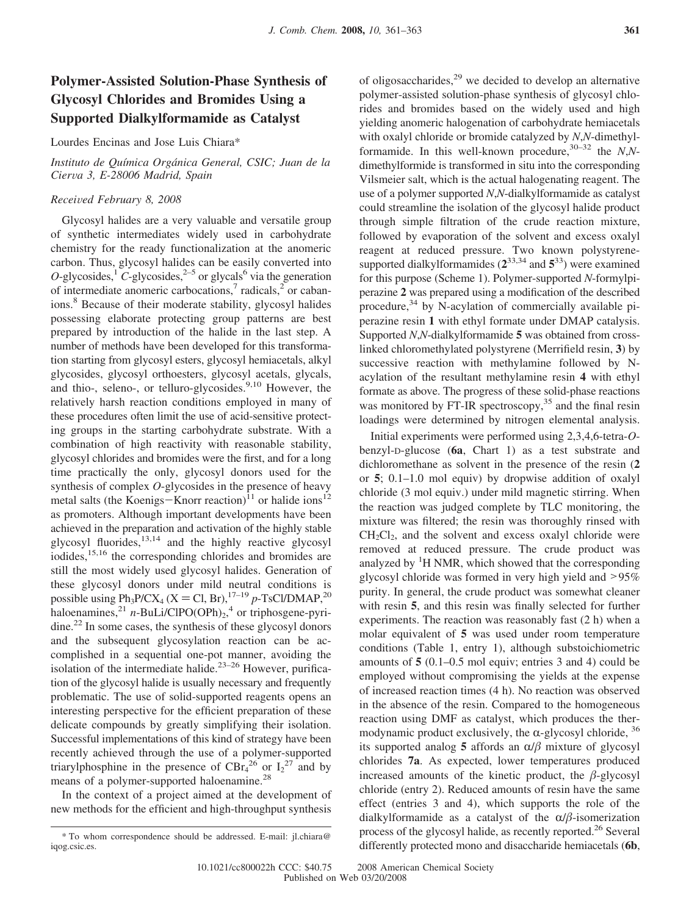# **Polymer-Assisted Solution-Phase Synthesis of Glycosyl Chlorides and Bromides Using a Supported Dialkylformamide as Catalyst**

Lourdes Encinas and Jose Luis Chiara\*

# *Instituto de Química Orgánica General, CSIC; Juan de la Cier*V*a 3, E-28006 Madrid, Spain*

## *Recei*V*ed February 8, 2008*

Glycosyl halides are a very valuable and versatile group of synthetic intermediates widely used in carbohydrate chemistry for the ready functionalization at the anomeric carbon. Thus, glycosyl halides can be easily converted into  $O$ -glycosides,<sup>1</sup>  $C$ -glycosides,<sup>2–5</sup> or glycals<sup>6</sup> via the generation of intermediate anomeric carbocations, $\frac{7}{1}$  radicals, $\frac{2}{1}$  or cabanions.8 Because of their moderate stability, glycosyl halides possessing elaborate protecting group patterns are best prepared by introduction of the halide in the last step. A number of methods have been developed for this transformation starting from glycosyl esters, glycosyl hemiacetals, alkyl glycosides, glycosyl orthoesters, glycosyl acetals, glycals, and thio-, seleno-, or telluro-glycosides. $9,10$  However, the relatively harsh reaction conditions employed in many of these procedures often limit the use of acid-sensitive protecting groups in the starting carbohydrate substrate. With a combination of high reactivity with reasonable stability, glycosyl chlorides and bromides were the first, and for a long time practically the only, glycosyl donors used for the synthesis of complex *O*-glycosides in the presence of heavy metal salts (the Koenigs-Knorr reaction)<sup>11</sup> or halide ions<sup>12</sup> as promoters. Although important developments have been achieved in the preparation and activation of the highly stable glycosyl fluorides, $13,14$  and the highly reactive glycosyl iodides,<sup>15,16</sup> the corresponding chlorides and bromides are still the most widely used glycosyl halides. Generation of these glycosyl donors under mild neutral conditions is possible using Ph<sub>3</sub>P/CX<sub>4</sub> (X = Cl, Br),<sup>17–19</sup> *p*-TsCl/DMAP,<sup>20</sup> haloenamines,<sup>21</sup> *n*-BuLi/ClPO(OPh)<sub>2</sub>,<sup>4</sup> or triphosgene-pyridine.<sup>22</sup> In some cases, the synthesis of these glycosyl donors and the subsequent glycosylation reaction can be accomplished in a sequential one-pot manner, avoiding the isolation of the intermediate halide.<sup>23-26</sup> However, purification of the glycosyl halide is usually necessary and frequently problematic. The use of solid-supported reagents opens an interesting perspective for the efficient preparation of these delicate compounds by greatly simplifying their isolation. Successful implementations of this kind of strategy have been recently achieved through the use of a polymer-supported triarylphosphine in the presence of  $CBr<sub>4</sub><sup>26</sup>$  or  $I<sub>2</sub><sup>27</sup>$  and by means of a polymer-supported haloenamine.<sup>28</sup>

In the context of a project aimed at the development of new methods for the efficient and high-throughput synthesis of oligosaccharides,29 we decided to develop an alternative polymer-assisted solution-phase synthesis of glycosyl chlorides and bromides based on the widely used and high yielding anomeric halogenation of carbohydrate hemiacetals with oxalyl chloride or bromide catalyzed by *N*,*N*-dimethylformamide. In this well-known procedure,30–32 the *N*,*N*dimethylformide is transformed in situ into the corresponding Vilsmeier salt, which is the actual halogenating reagent. The use of a polymer supported *N*,*N*-dialkylformamide as catalyst could streamline the isolation of the glycosyl halide product through simple filtration of the crude reaction mixture, followed by evaporation of the solvent and excess oxalyl reagent at reduced pressure. Two known polystyrenesupported dialkylformamides  $(2^{33,34} \text{ and } 5^{33})$  were examined for this purpose (Scheme 1). Polymer-supported *N*-formylpiperazine **2** was prepared using a modification of the described procedure, $34$  by N-acylation of commercially available piperazine resin **1** with ethyl formate under DMAP catalysis. Supported *N*,*N*-dialkylformamide **5** was obtained from crosslinked chloromethylated polystyrene (Merrifield resin, **3**) by successive reaction with methylamine followed by Nacylation of the resultant methylamine resin **4** with ethyl formate as above. The progress of these solid-phase reactions was monitored by FT-IR spectroscopy,<sup>35</sup> and the final resin loadings were determined by nitrogen elemental analysis.

Initial experiments were performed using 2,3,4,6-tetra-*O*benzyl-D-glucose (**6a**, Chart 1) as a test substrate and dichloromethane as solvent in the presence of the resin (**2** or **5**; 0.1–1.0 mol equiv) by dropwise addition of oxalyl chloride (3 mol equiv.) under mild magnetic stirring. When the reaction was judged complete by TLC monitoring, the mixture was filtered; the resin was thoroughly rinsed with  $CH<sub>2</sub>Cl<sub>2</sub>$ , and the solvent and excess oxalyl chloride were removed at reduced pressure. The crude product was analyzed by <sup>1</sup>H NMR, which showed that the corresponding glycosyl chloride was formed in very high yield and >95% purity. In general, the crude product was somewhat cleaner with resin **5**, and this resin was finally selected for further experiments. The reaction was reasonably fast (2 h) when a molar equivalent of **5** was used under room temperature conditions (Table 1, entry 1), although substoichiometric amounts of **5** (0.1–0.5 mol equiv; entries 3 and 4) could be employed without compromising the yields at the expense of increased reaction times (4 h). No reaction was observed in the absence of the resin. Compared to the homogeneous reaction using DMF as catalyst, which produces the thermodynamic product exclusively, the  $\alpha$ -glycosyl chloride,  $36$ its supported analog **5** affords an  $\alpha/\beta$  mixture of glycosyl chlorides **7a**. As expected, lower temperatures produced increased amounts of the kinetic product, the  $\beta$ -glycosyl chloride (entry 2). Reduced amounts of resin have the same effect (entries 3 and 4), which supports the role of the dialkylformamide as a catalyst of the  $\alpha/\beta$ -isomerization process of the glycosyl halide, as recently reported.<sup>26</sup> Several differently protected mono and disaccharide hemiacetals (**6b**, \* To whom correspondence should be addressed. E-mail: jl.chiara@

iqog.csic.es.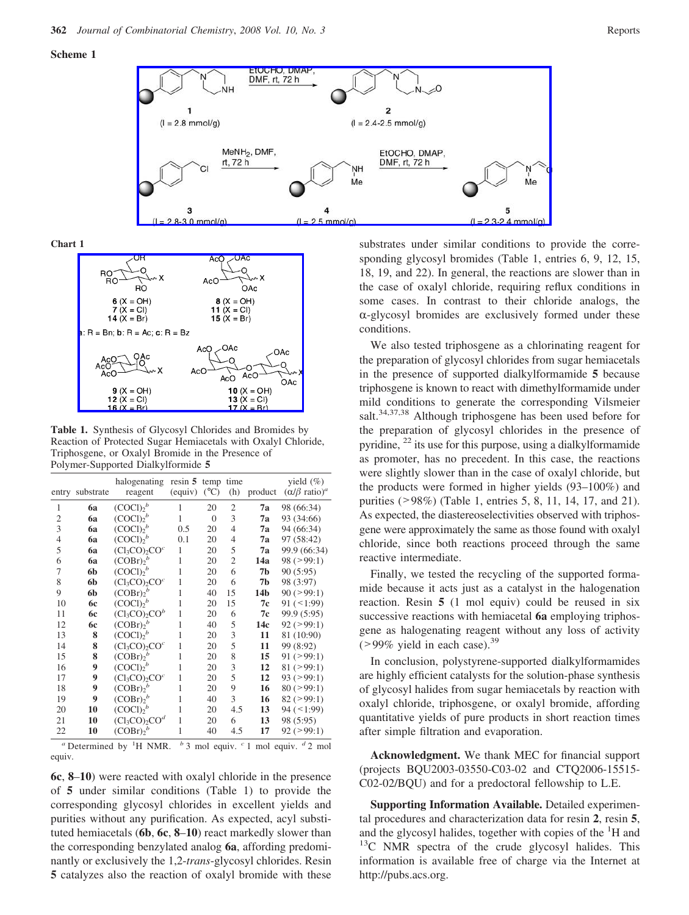### **Scheme 1**



**Chart 1**



**Table 1.** Synthesis of Glycosyl Chlorides and Bromides by Reaction of Protected Sugar Hemiacetals with Oxalyl Chloride, Triphosgene, or Oxalyl Bromide in the Presence of Polymer-Supported Dialkylformide **5**

| entry          | substrate                         | halogenating<br>reagent                 | $resin 5$ temp<br>(equiv) | $({}^{\circ}C)$ | time<br>(h)                                 | product | yield $(\% )$<br>$(\alpha/\beta \text{ ratio})^a$ |
|----------------|-----------------------------------|-----------------------------------------|---------------------------|-----------------|---------------------------------------------|---------|---------------------------------------------------|
| 1              | <b>6a</b>                         | (COC1) <sub>2</sub> <sup>b</sup>        | $\mathbf{1}$              | 20              | 2                                           | 7a      | 98 (66:34)                                        |
| $\overline{c}$ | 6a                                | $(COC1)2$ <sup>b</sup>                  | $\mathbf{1}$              | $\overline{0}$  | 3                                           | 7a      | 93 (34:66)                                        |
| $\overline{3}$ | <b>6a</b>                         | (COC1) <sub>2</sub>                     | 0.5                       | 20              | $\overline{4}$                              | 7а      | 94 (66:34)                                        |
| $\overline{4}$ | 6a                                | $(COC1)2$ <sup>b</sup>                  | 0.1                       | 20              | $\overline{4}$                              | 7a      | 97 (58:42)                                        |
| 5              | 6a                                | $(Cl_3CO)_2COc$                         | $\mathbf{1}$              | 20              | 5                                           | 7a      | 99.9 (66:34)                                      |
| 6              | 6a                                | (COBr) <sup>b</sup>                     | $\mathbf{1}$              | 20              | $\overline{c}$                              | 14a     | $98 (=99:1)$                                      |
| 7              | 6b                                | (COCl) <sub>2</sub>                     | 1                         | 20              | 6                                           | 7b      | 90(5:95)                                          |
| 8              | 6b                                | $(Cl_3CO)_2COc$                         | 1                         | 20              | 6                                           | 7b      | 98 (3:97)                                         |
| 9              | 6b                                | $(COBr)2$ <sup>b</sup>                  | $\mathbf{1}$              | 40              | 15                                          | 14b     | $90 (=99:1)$                                      |
| 10             | 6с                                | $(COC1)2$ <sup>b</sup>                  | $\mathbf{1}$              | 20              | 15                                          | 7с      | $91 (+1:99)$                                      |
| 11             | 6с                                | $(Cl_3CO)_2CO^b$                        | $\mathbf{1}$              | 20              | 6                                           | 7c      | 99.9 (5:95)                                       |
| 12             | 6с                                | $(COBr)2$ <sup>b</sup>                  | 1                         | 40              | 5                                           | 14c     | $92 (=99:1)$                                      |
| 13             | 8                                 | (COCl) <sub>2</sub> <sup>b</sup>        | 1                         | 20              | 3                                           | 11      | 81 (10:90)                                        |
| 14             | 8                                 | $(Cl_3CO)_2COc$                         | 1                         | 20              | 5                                           | 11      | 99 (8:92)                                         |
| 15             | 8                                 | $(COBr)2$ <sup>b</sup>                  | $\mathbf{1}$              | 20              | 8                                           | 15      | $91 (=99:1)$                                      |
| 16             | 9                                 | (COCl) <sub>2</sub> <sup>b</sup>        | 1                         | 20              | 3                                           | 12      | 81 (>99:1)                                        |
| 17             | 9                                 | $(Cl_3CO)_2COc$                         | $\mathbf{1}$              | 20              | 5                                           | 12      | $93 (=99:1)$                                      |
| 18             | 9                                 | $(COBr)2$ <sup>b</sup>                  | 1                         | 20              | 9                                           | 16      | $80 (=99:1)$                                      |
| 19             | 9                                 | $(COBr)2$ <sup>b</sup>                  | 1                         | 40              | 3                                           | 16      | 82 (>99:1)                                        |
| 20             | 10                                | $(COC1)2$ <sup>b</sup>                  | 1                         | 20              | 4.5                                         | 13      | $94 (+1:99)$                                      |
| 21             | 10                                | $(Cl_3CO)$ <sub>2</sub> CO <sup>d</sup> | $\mathbf{1}$              | 20              | 6                                           | 13      | 98 (5:95)                                         |
| 22             | 10                                | $(COBr)2$ <sup>b</sup>                  | 1                         | 40              | 4.5                                         | 17      | $92 (=99:1)$                                      |
|                | $a$ Determined by ${}^{1}$ H NMR. |                                         |                           |                 | $b$ 3 mol equiv. $c$ 1 mol equiv. $d$ 2 mol |         |                                                   |

equiv.

**6c**, **8**–**10**) were reacted with oxalyl chloride in the presence of **5** under similar conditions (Table 1) to provide the corresponding glycosyl chlorides in excellent yields and purities without any purification. As expected, acyl substituted hemiacetals (**6b**, **6c**, **8**–**10**) react markedly slower than the corresponding benzylated analog **6a**, affording predominantly or exclusively the 1,2-*trans*-glycosyl chlorides. Resin **5** catalyzes also the reaction of oxalyl bromide with these

substrates under similar conditions to provide the corresponding glycosyl bromides (Table 1, entries 6, 9, 12, 15, 18, 19, and 22). In general, the reactions are slower than in the case of oxalyl chloride, requiring reflux conditions in some cases. In contrast to their chloride analogs, the  $\alpha$ -glycosyl bromides are exclusively formed under these conditions.

We also tested triphosgene as a chlorinating reagent for the preparation of glycosyl chlorides from sugar hemiacetals in the presence of supported dialkylformamide **5** because triphosgene is known to react with dimethylformamide under mild conditions to generate the corresponding Vilsmeier salt.<sup>34,37,38</sup> Although triphosgene has been used before for the preparation of glycosyl chlorides in the presence of pyridine, <sup>22</sup> its use for this purpose, using a dialkylformamide as promoter, has no precedent. In this case, the reactions were slightly slower than in the case of oxalyl chloride, but the products were formed in higher yields (93–100%) and purities (>98%) (Table 1, entries 5, 8, 11, 14, 17, and 21). As expected, the diastereoselectivities observed with triphosgene were approximately the same as those found with oxalyl chloride, since both reactions proceed through the same reactive intermediate.

Finally, we tested the recycling of the supported formamide because it acts just as a catalyst in the halogenation reaction. Resin **5** (1 mol equiv) could be reused in six successive reactions with hemiacetal **6a** employing triphosgene as halogenating reagent without any loss of activity  $(>99\%$  yield in each case).<sup>39</sup>

In conclusion, polystyrene-supported dialkylformamides are highly efficient catalysts for the solution-phase synthesis of glycosyl halides from sugar hemiacetals by reaction with oxalyl chloride, triphosgene, or oxalyl bromide, affording quantitative yields of pure products in short reaction times after simple filtration and evaporation.

**Acknowledgment.** We thank MEC for financial support (projects BQU2003-03550-C03-02 and CTQ2006-15515- C02-02/BQU) and for a predoctoral fellowship to L.E.

**Supporting Information Available.** Detailed experimental procedures and characterization data for resin **2**, resin **5**, and the glycosyl halides, together with copies of the  ${}^{1}H$  and  $^{13}$ C NMR spectra of the crude glycosyl halides. This information is available free of charge via the Internet at http://pubs.acs.org.